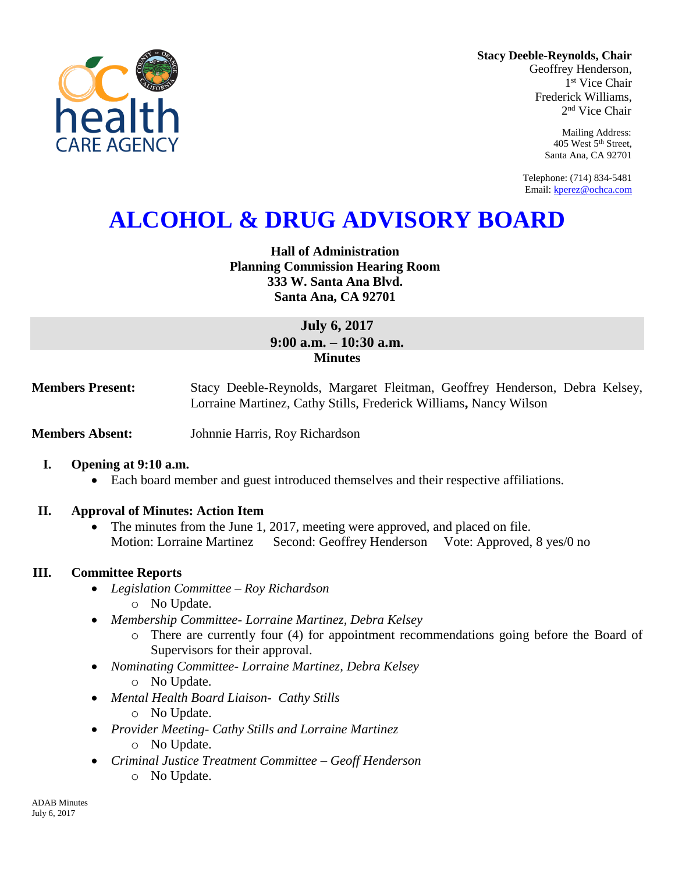

**Stacy Deeble-Reynolds, Chair** Geoffrey Henderson,

1 st Vice Chair Frederick Williams, 2 nd Vice Chair

> Mailing Address: 405 West 5th Street, Santa Ana, CA 92701

Telephone: (714) 834-5481 Email[: kperez@ochca.com](mailto:kperez@ochca.com)

# **ALCOHOL & DRUG ADVISORY BOARD**

## **Hall of Administration Planning Commission Hearing Room 333 W. Santa Ana Blvd. Santa Ana, CA 92701**

# **July 6, 2017 9:00 a.m. – 10:30 a.m. Minutes**

**Members Present:** Stacy Deeble-Reynolds, Margaret Fleitman, Geoffrey Henderson, Debra Kelsey, Lorraine Martinez, Cathy Stills, Frederick Williams**,** Nancy Wilson

**Members Absent:** Johnnie Harris, Roy Richardson

## **I. Opening at 9:10 a.m.**

Each board member and guest introduced themselves and their respective affiliations.

## **II. Approval of Minutes: Action Item**

• The minutes from the June 1, 2017, meeting were approved, and placed on file. Motion: Lorraine Martinez Second: Geoffrey Henderson Vote: Approved, 8 yes/0 no

# **III. Committee Reports**

- *Legislation Committee – Roy Richardson* o No Update.
- *Membership Committee- Lorraine Martinez, Debra Kelsey* 
	- o There are currently four (4) for appointment recommendations going before the Board of Supervisors for their approval.
- *Nominating Committee- Lorraine Martinez, Debra Kelsey*
	- o No Update.
- *Mental Health Board Liaison- Cathy Stills*
	- o No Update.
- *Provider Meeting- Cathy Stills and Lorraine Martinez* o No Update.
- *Criminal Justice Treatment Committee – Geoff Henderson*
	- o No Update.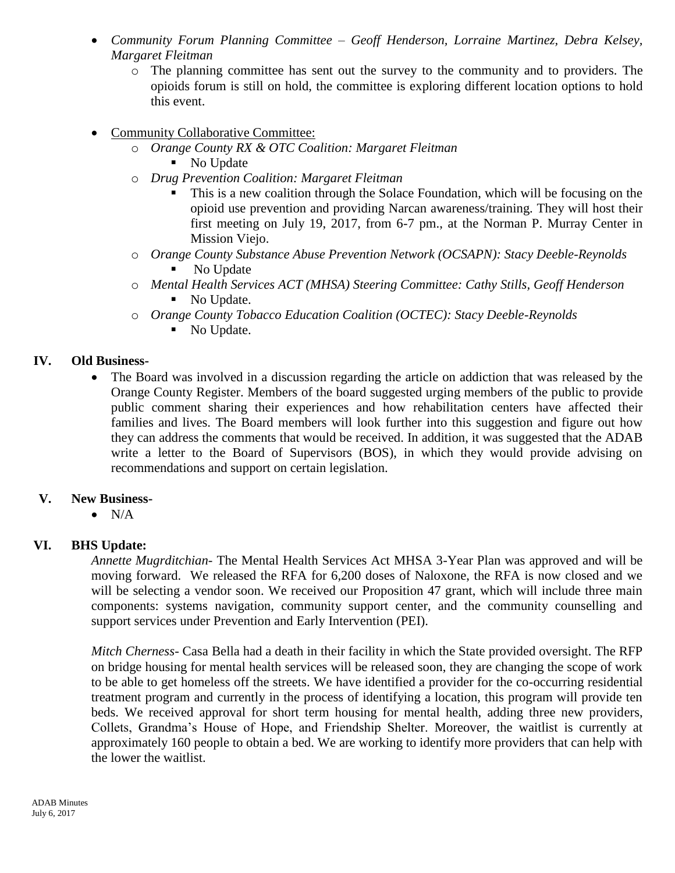- *Community Forum Planning Committee – Geoff Henderson, Lorraine Martinez, Debra Kelsey, Margaret Fleitman*
	- o The planning committee has sent out the survey to the community and to providers. The opioids forum is still on hold, the committee is exploring different location options to hold this event.
- Community Collaborative Committee:
	- o *Orange County RX & OTC Coalition: Margaret Fleitman*
		- No Update
	- o *Drug Prevention Coalition: Margaret Fleitman*
		- This is a new coalition through the Solace Foundation, which will be focusing on the opioid use prevention and providing Narcan awareness/training. They will host their first meeting on July 19, 2017, from 6-7 pm., at the Norman P. Murray Center in Mission Viejo.
	- o *Orange County Substance Abuse Prevention Network (OCSAPN): Stacy Deeble-Reynolds* No Update
	- o *Mental Health Services ACT (MHSA) Steering Committee: Cathy Stills, Geoff Henderson* No Update.
	- o *Orange County Tobacco Education Coalition (OCTEC): Stacy Deeble-Reynolds*
		- No Update.

## **IV. Old Business-**

 The Board was involved in a discussion regarding the article on addiction that was released by the Orange County Register. Members of the board suggested urging members of the public to provide public comment sharing their experiences and how rehabilitation centers have affected their families and lives. The Board members will look further into this suggestion and figure out how they can address the comments that would be received. In addition, it was suggested that the ADAB write a letter to the Board of Supervisors (BOS), in which they would provide advising on recommendations and support on certain legislation.

## **V. New Business-**

 $\bullet$  N/A

# **VI. BHS Update:**

*Annette Mugrditchian-* The Mental Health Services Act MHSA 3-Year Plan was approved and will be moving forward. We released the RFA for 6,200 doses of Naloxone, the RFA is now closed and we will be selecting a vendor soon. We received our Proposition 47 grant, which will include three main components: systems navigation, community support center, and the community counselling and support services under Prevention and Early Intervention (PEI).

*Mitch Cherness-* Casa Bella had a death in their facility in which the State provided oversight. The RFP on bridge housing for mental health services will be released soon, they are changing the scope of work to be able to get homeless off the streets. We have identified a provider for the co-occurring residential treatment program and currently in the process of identifying a location, this program will provide ten beds. We received approval for short term housing for mental health, adding three new providers, Collets, Grandma's House of Hope, and Friendship Shelter. Moreover, the waitlist is currently at approximately 160 people to obtain a bed. We are working to identify more providers that can help with the lower the waitlist.